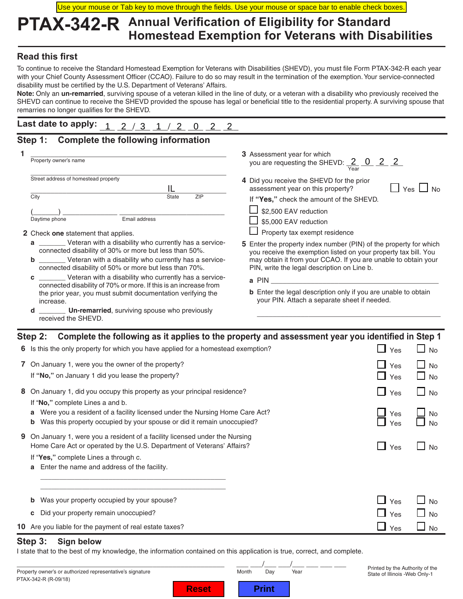Use your mouse or Tab key to move through the fields. Use your mouse or space bar to enable check boxes.

## **PTAX-342-R Annual Verification of Eligibility for Standard Homestead Exemption for Veterans with Disabilities**

## **Read this first**

To continue to receive the Standard Homestead Exemption for Veterans with Disabilities (SHEVD), you must file Form PTAX-342-R each year with your Chief County Assessment Officer (CCAO). Failure to do so may result in the termination of the exemption. Your service-connected disability must be certified by the U.S. Department of Veterans' Affairs.

**Note:** Only an **un-remarried**, surviving spouse of a veteran killed in the line of duty, or a veteran with a disability who previously received the SHEVD can continue to receive the SHEVD provided the spouse has legal or beneficial title to the residential property. A surviving spouse that remarries no longer qualifies for the SHEVD.

| Last date to apply: $1 \t2 \t3 \t1 \t2 \t0 \t2 \t2$ |  |  |  |  |  |  |  |  |
|-----------------------------------------------------|--|--|--|--|--|--|--|--|
|-----------------------------------------------------|--|--|--|--|--|--|--|--|

## **Step 1: Complete the following information**

|                                                                                                                                                                                                                                                                                                                                                                                                                                                                                                                                                                                                                                                                                                                   | Property owner's name                                                                                    | 3 Assessment year for which<br>you are requesting the SHEVD: $\frac{2}{\text{Year}}$ 0 2 2                                                                                                                                                                                                                                                                                                                                                                                    |  |  |  |  |
|-------------------------------------------------------------------------------------------------------------------------------------------------------------------------------------------------------------------------------------------------------------------------------------------------------------------------------------------------------------------------------------------------------------------------------------------------------------------------------------------------------------------------------------------------------------------------------------------------------------------------------------------------------------------------------------------------------------------|----------------------------------------------------------------------------------------------------------|-------------------------------------------------------------------------------------------------------------------------------------------------------------------------------------------------------------------------------------------------------------------------------------------------------------------------------------------------------------------------------------------------------------------------------------------------------------------------------|--|--|--|--|
| Street address of homestead property<br>IL<br>City<br>ZIP<br>State<br>Email address<br>Daytime phone<br>2 Check one statement that applies.<br>________ Veteran with a disability who currently has a service-<br>a<br>connected disability of 30% or more but less than 50%.<br>_____ Veteran with a disability who currently has a service-<br>b<br>connected disability of 50% or more but less than 70%.<br>________ Veteran with a disability who currently has a service-<br>C<br>connected disability of 70% or more. If this is an increase from<br>the prior year, you must submit documentation verifying the<br>increase.<br>Un-remarried, surviving spouse who previously<br>d<br>received the SHEVD. |                                                                                                          | 4 Did you receive the SHEVD for the prior<br>assessment year on this property?<br>Yes<br>If "Yes," check the amount of the SHEVD.<br>\$2,500 EAV reduction<br>\$5,000 EAV reduction<br>Property tax exempt residence<br>5 Enter the property index number (PIN) of the property for which<br>you receive the exemption listed on your property tax bill. You<br>may obtain it from your CCAO. If you are unable to obtain your<br>PIN, write the legal description on Line b. |  |  |  |  |
|                                                                                                                                                                                                                                                                                                                                                                                                                                                                                                                                                                                                                                                                                                                   |                                                                                                          | a PIN<br><b>b</b> Enter the legal description only if you are unable to obtain<br>your PIN. Attach a separate sheet if needed.                                                                                                                                                                                                                                                                                                                                                |  |  |  |  |
|                                                                                                                                                                                                                                                                                                                                                                                                                                                                                                                                                                                                                                                                                                                   |                                                                                                          | Step 2: Complete the following as it applies to the property and assessment year you identified in Step 1                                                                                                                                                                                                                                                                                                                                                                     |  |  |  |  |
|                                                                                                                                                                                                                                                                                                                                                                                                                                                                                                                                                                                                                                                                                                                   | 6 Is this the only property for which you have applied for a homestead exemption?                        | N <sub>0</sub><br>Yes                                                                                                                                                                                                                                                                                                                                                                                                                                                         |  |  |  |  |
|                                                                                                                                                                                                                                                                                                                                                                                                                                                                                                                                                                                                                                                                                                                   | 7 On January 1, were you the owner of the property?<br>If "No," on January 1 did you lease the property? | Yes<br>No<br>Yes<br>No                                                                                                                                                                                                                                                                                                                                                                                                                                                        |  |  |  |  |
|                                                                                                                                                                                                                                                                                                                                                                                                                                                                                                                                                                                                                                                                                                                   | 8 On January 1, did you occupy this property as your principal residence?                                | Yes<br><b>No</b>                                                                                                                                                                                                                                                                                                                                                                                                                                                              |  |  |  |  |

If "**No,"** complete Lines a and b.

- **a** Were you a resident of a facility licensed under the Nursing Home Care Act?  $\Box$  Yes  $\Box$  No
- **b** Was this property occupied by your spouse or did it remain unoccupied?  $\Box$  Yes  $\Box$  No
- **9** On January 1, were you a resident of a facility licensed under the Nursing Home Care Act or operated by the U.S. Department of Veterans' Affairs?  $\Box$  Yes  $\Box$  No

\_\_\_\_\_\_\_\_\_\_\_\_\_\_\_\_\_\_\_\_\_\_\_\_\_\_\_\_\_\_\_\_\_\_\_\_\_\_\_\_\_\_\_\_\_\_\_\_\_

- If "**Yes,"** complete Lines a through c.
- **a** Enter the name and address of the facility.

|  | <b>b</b> Was your property occupied by your spouse?     |      | $\sqrt[q]{\ }$ Yes $\Box$ No |
|--|---------------------------------------------------------|------|------------------------------|
|  | c Did your property remain unoccupied?                  | "Yes | $\Box$ No                    |
|  | 10 Are you liable for the payment of real estate taxes? | Yes  | $\Box$ No                    |

### **Step 3: Sign below**

I state that to the best of my knowledge, the information contained on this application is true, correct, and complete.

PTAX-342-R (R-09/18) \_\_\_\_\_\_\_\_\_\_\_\_\_\_\_\_\_\_\_\_\_\_\_\_\_\_\_\_\_\_\_\_\_\_\_\_\_\_\_\_\_\_\_\_\_\_\_\_\_\_\_\_ \_\_\_ \_\_\_/\_\_\_ \_\_\_/\_\_\_ \_\_\_ \_\_\_ \_\_\_ Property owner's or authorized representative's signature

Printed by the Authority of the State of Illinois -Web Only-1

**Reset** 

| ntn | Day | Ye. |
|-----|-----|-----|
|     |     |     |